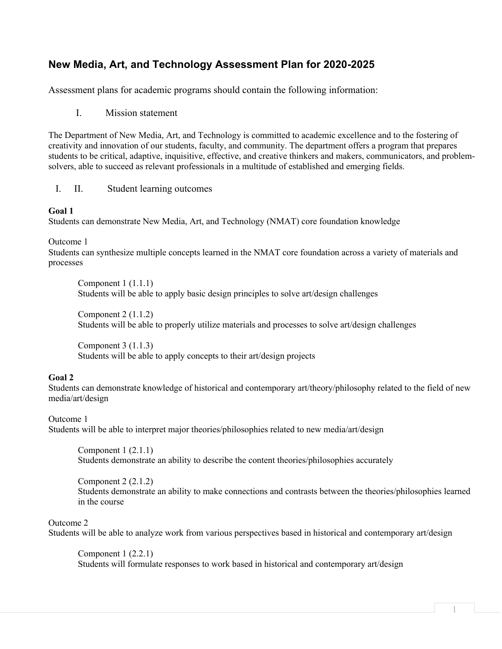# **New Media, Art, and Technology Assessment Plan for 2020-2025**

Assessment plans for academic programs should contain the following information:

I. Mission statement

The Department of New Media, Art, and Technology is committed to academic excellence and to the fostering of creativity and innovation of our students, faculty, and community. The department offers a program that prepares students to be critical, adaptive, inquisitive, effective, and creative thinkers and makers, communicators, and problemsolvers, able to succeed as relevant professionals in a multitude of established and emerging fields.

# I. II. Student learning outcomes

#### **Goal 1**

Students can demonstrate New Media, Art, and Technology (NMAT) core foundation knowledge

Outcome 1

Students can synthesize multiple concepts learned in the NMAT core foundation across a variety of materials and processes

Component 1 (1.1.1) Students will be able to apply basic design principles to solve art/design challenges

Component 2 (1.1.2) Students will be able to properly utilize materials and processes to solve art/design challenges

Component 3 (1.1.3) Students will be able to apply concepts to their art/design projects

# **Goal 2**

Students can demonstrate knowledge of historical and contemporary art/theory/philosophy related to the field of new media/art/design

# Outcome 1

Students will be able to interpret major theories/philosophies related to new media/art/design

Component 1 (2.1.1) Students demonstrate an ability to describe the content theories/philosophies accurately

Component 2 (2.1.2) Students demonstrate an ability to make connections and contrasts between the theories/philosophies learned in the course

# Outcome 2

Students will be able to analyze work from various perspectives based in historical and contemporary art/design

Component 1 (2.2.1) Students will formulate responses to work based in historical and contemporary art/design